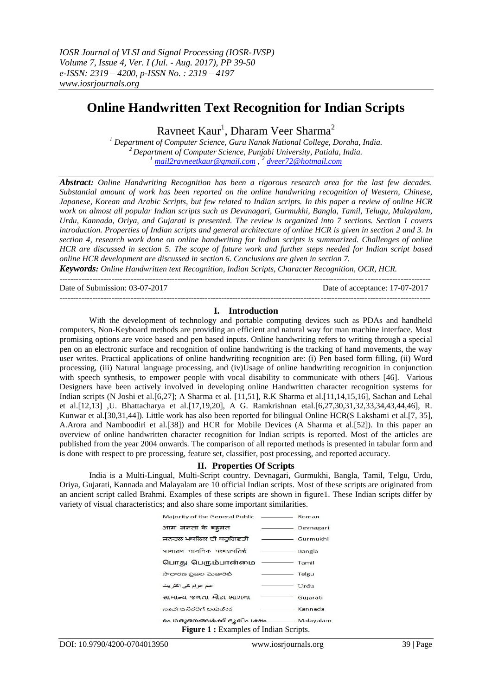# **Online Handwritten Text Recognition for Indian Scripts**

Ravneet Kaur<sup>1</sup>, Dharam Veer Sharma<sup>2</sup>

*<sup>1</sup> Department of Computer Science, Guru Nanak National College, Doraha, India. <sup>2</sup> Department of Computer Science, Punjabi University, Patiala, India. <sup>1</sup> [mail2ravneetkaur@gmail.com](mailto:mail2ravneetkaur@gmail.com) , 2 [dveer72@hotmail.com](mailto:dveer72@hotmail.com)*

*Abstract: Online Handwriting Recognition has been a rigorous research area for the last few decades. Substantial amount of work has been reported on the online handwriting recognition of Western, Chinese, Japanese, Korean and Arabic Scripts, but few related to Indian scripts. In this paper a review of online HCR work on almost all popular Indian scripts such as Devanagari, Gurmukhi, Bangla, Tamil, Telugu, Malayalam, Urdu, Kannada, Oriya, and Gujarati is presented. The review is organized into 7 sections. Section 1 covers introduction. Properties of Indian scripts and general architecture of online HCR is given in section 2 and 3. In section 4, research work done on online handwriting for Indian scripts is summarized. Challenges of online HCR are discussed in section 5. The scope of future work and further steps needed for Indian script based online HCR development are discussed in section 6. Conclusions are given in section 7.* 

*Keywords: Online Handwritten text Recognition, Indian Scripts, Character Recognition, OCR, HCR.*

Date of Submission: 03-07-2017

---------------------------------------------------------------------------------------------------------------------------------------

#### **I. Introduction**

---------------------------------------------------------------------------------------------------------------------------------------

With the development of technology and portable computing devices such as PDAs and handheld computers, Non-Keyboard methods are providing an efficient and natural way for man machine interface. Most promising options are voice based and pen based inputs. Online handwriting refers to writing through a special pen on an electronic surface and recognition of online handwriting is the tracking of hand movements, the way user writes. Practical applications of online handwriting recognition are: (i) Pen based form filling, (ii) Word processing, (iii) Natural language processing, and (iv)Usage of online handwriting recognition in conjunction with speech synthesis, to empower people with vocal disability to communicate with others [46]. Various Designers have been actively involved in developing online Handwritten character recognition systems for Indian scripts (N Joshi et al.[6,27]; A Sharma et al. [11,51], R.K Sharma et al.[11,14,15,16], Sachan and Lehal et al.[12,13] ,U. Bhattacharya et al.[17,19,20], A G. Ramkrishnan etal.[6,27,30,31,32,33,34,43,44,46], R. Kunwar et al.[30,31,44]). Little work has also been reported for bilingual Online HCR(S Lakshami et al.[7, 35], A.Arora and Namboodiri et al.[38]) and HCR for Mobile Devices (A Sharma et al.[52]). In this paper an overview of online handwritten character recognition for Indian scripts is reported. Most of the articles are published from the year 2004 onwards. The comparison of all reported methods is presented in tabular form and is done with respect to pre processing, feature set, classifier, post processing, and reported accuracy.

#### **II. Properties Of Scripts**

India is a Multi-Lingual, Multi-Script country. Devnagari, Gurmukhi, Bangla, Tamil, Telgu, Urdu, Oriya, Gujarati, Kannada and Malayalam are 10 official Indian scripts. Most of these scripts are originated from an ancient script called Brahmi. Examples of these scripts are shown in figure1. These Indian scripts differ by variety of visual characteristics; and also share some important similarities.

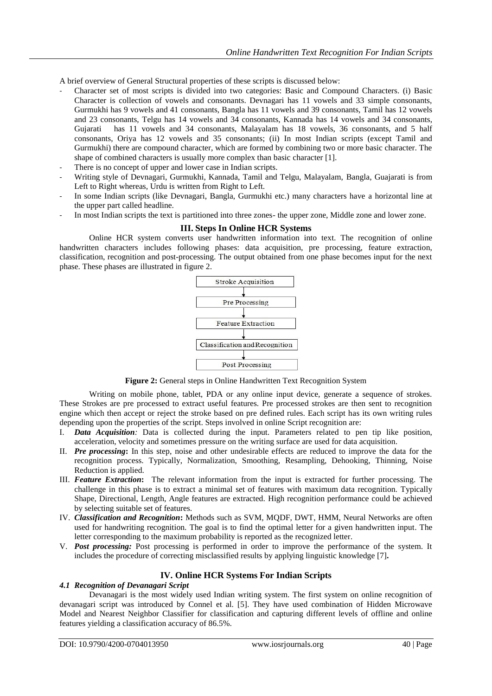A brief overview of General Structural properties of these scripts is discussed below:

- Character set of most scripts is divided into two categories: Basic and Compound Characters. (i) Basic Character is collection of vowels and consonants. Devnagari has 11 vowels and 33 simple consonants, Gurmukhi has 9 vowels and 41 consonants, Bangla has 11 vowels and 39 consonants, Tamil has 12 vowels and 23 consonants, Telgu has 14 vowels and 34 consonants, Kannada has 14 vowels and 34 consonants, Gujarati has 11 vowels and 34 consonants, Malayalam has 18 vowels, 36 consonants, and 5 half consonants, Oriya has 12 vowels and 35 consonants; (ii) In most Indian scripts (except Tamil and Gurmukhi) there are compound character, which are formed by combining two or more basic character. The shape of combined characters is usually more complex than basic character [1].
- There is no concept of upper and lower case in Indian scripts.
- Writing style of Devnagari, Gurmukhi, Kannada, Tamil and Telgu, Malayalam, Bangla, Guajarati is from Left to Right whereas, Urdu is written from Right to Left.
- In some Indian scripts (like Devnagari, Bangla, Gurmukhi etc.) many characters have a horizontal line at the upper part called headline.
- In most Indian scripts the text is partitioned into three zones- the upper zone, Middle zone and lower zone.

#### **III. Steps In Online HCR Systems**

Online HCR system converts user handwritten information into text. The recognition of online handwritten characters includes following phases: data acquisition, pre processing, feature extraction, classification, recognition and post-processing. The output obtained from one phase becomes input for the next phase. These phases are illustrated in figure 2.



**Figure 2:** General steps in Online Handwritten Text Recognition System

Writing on mobile phone, tablet, PDA or any online input device, generate a sequence of strokes. These Strokes are pre processed to extract useful features. Pre processed strokes are then sent to recognition engine which then accept or reject the stroke based on pre defined rules. Each script has its own writing rules depending upon the properties of the script. Steps involved in online Script recognition are:

- I. *Data Acquisition:* Data is collected during the input. Parameters related to pen tip like position, acceleration, velocity and sometimes pressure on the writing surface are used for data acquisition.
- II. *Pre processing***:** In this step, noise and other undesirable effects are reduced to improve the data for the recognition process. Typically, Normalization, Smoothing, Resampling, Dehooking, Thinning, Noise Reduction is applied.
- III. *Feature Extraction***:** The relevant information from the input is extracted for further processing. The challenge in this phase is to extract a minimal set of features with maximum data recognition. Typically Shape, Directional, Length, Angle features are extracted. High recognition performance could be achieved by selecting suitable set of features.
- IV. *Classification and Recognition***:** Methods such as SVM, MQDF, DWT, HMM, Neural Networks are often used for handwriting recognition. The goal is to find the optimal letter for a given handwritten input. The letter corresponding to the maximum probability is reported as the recognized letter.
- V. *Post processing:* Post processing is performed in order to improve the performance of the system. It includes the procedure of correcting misclassified results by applying linguistic knowledge [7]**.**

#### **IV. Online HCR Systems For Indian Scripts**

#### *4.1 Recognition of Devanagari Script*

Devanagari is the most widely used Indian writing system. The first system on online recognition of devanagari script was introduced by Connel et al. [5]. They have used combination of Hidden Microwave Model and Nearest Neighbor Classifier for classification and capturing different levels of offline and online features yielding a classification accuracy of 86.5%.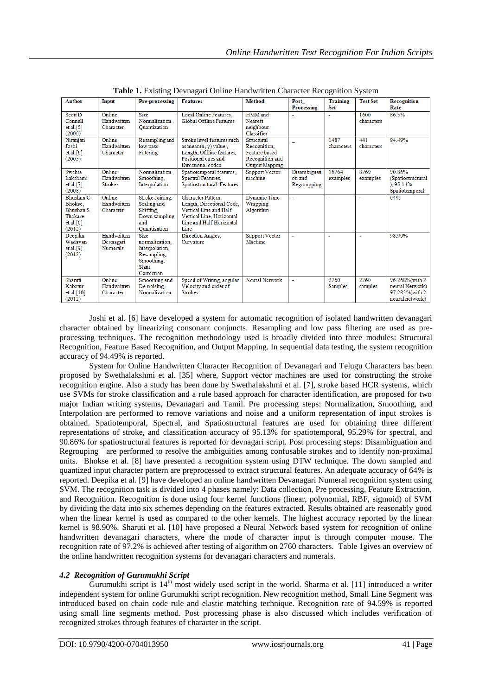| <b>Author</b>                                                       | Input                                       | Pre-processing                                                                                      | <b>Features</b>                                                                                                                            | <b>Method</b>                                                                                  | Post                                  | <b>Training</b>    | <b>Test Set</b>    | Recognition                                                             |
|---------------------------------------------------------------------|---------------------------------------------|-----------------------------------------------------------------------------------------------------|--------------------------------------------------------------------------------------------------------------------------------------------|------------------------------------------------------------------------------------------------|---------------------------------------|--------------------|--------------------|-------------------------------------------------------------------------|
|                                                                     |                                             |                                                                                                     |                                                                                                                                            |                                                                                                | <b>Processing</b>                     | <b>Set</b>         |                    | Rate                                                                    |
| <b>Scott D</b><br>Connell<br>et al.[5]<br>(2000)                    | Online<br>Handwritten<br>Character          | <b>Size</b><br>Normalization.<br>Ouantization                                                       | Local Online Features,<br>Global Offline Features                                                                                          | HMM and<br><b>Nearest</b><br>neighbour<br>Classifier                                           |                                       |                    | 1600<br>characters | 86.5%                                                                   |
| Niranjan<br>Joshi<br>et al. $[6]$<br>(2005)                         | Online<br>Handwritten<br>Character          | Resampling and<br>low pass<br>Filtering                                                             | Stroke level features such<br>as mean $(x, y)$ value.<br>Length, Offline features,<br>Positional cues and<br>Directional codes             | Structural<br>Recognition.<br><b>Feature</b> based<br>Recognition and<br><b>Output Mapping</b> |                                       | 1487<br>characters | 441<br>characters  | 94.49%                                                                  |
| Swehta<br>Lakshami<br>et al.[7]<br>(2008)                           | Online<br>Handwritten<br><b>Strokes</b>     | Normalization.<br>Smoothing.<br>Interpolation                                                       | Spatiotemporal features<br>Spectral Features,<br>Spatiostructural Features                                                                 | <b>Support Vector</b><br>machine                                                               | Disambiguati<br>on and<br>Regroupping | 16764<br>examples  | 8769<br>examples   | 90.86%<br>(Spatiostructural<br>0.95.14%<br>Spatiotemporal               |
| Bhushan C<br>Bhokse.<br>Bhushan S<br>Thakare<br>et al.[6]<br>(2012) | Online<br>Handwritten<br>Character          | Stroke Joining.<br>Scaling and<br>Shifting,<br>Down sampling<br>and<br>Ouantization                 | Character Pattern.<br>Length, Directional Code,<br>Vertical Line and Half<br>Vertical Line, Horizontal<br>Line and Half Horizontal<br>Line | <b>Dynamic Time</b><br>Wrapping<br>Algorithm                                                   |                                       |                    |                    | 64%                                                                     |
| Deepika<br>Wadavan<br>et al.[9]<br>(2012)                           | Handwritten<br>Devnagari<br><b>Numerals</b> | <b>Size</b><br>normalization.<br>Interpolation,<br>Resampling.<br>Smoothing.<br>Slant<br>Correction | Direction Angles,<br>Curvature                                                                                                             | <b>Support Vector</b><br>Machine                                                               | ÷.                                    | ٠                  | ä,                 | 98.90%                                                                  |
| Sharuti<br>Kabatur<br>et al.[10]<br>(2012)                          | Online<br>Handwritten<br>Character          | Smoothing and<br>De-noising.<br>Normalization                                                       | Speed of Writing, angular<br>Velocity and order of<br>Strokes.                                                                             | <b>Neural Network</b>                                                                          | $\sim$                                | 2760<br>Samples    | 2760<br>samples    | 96.268%(with 2<br>neural Network)<br>97.283% (with 2<br>neural network) |

**Table 1.** Existing Devnagari Online Handwritten Character Recognition System

Joshi et al. [6] have developed a system for automatic recognition of isolated handwritten devanagari character obtained by linearizing consonant conjuncts. Resampling and low pass filtering are used as preprocessing techniques. The recognition methodology used is broadly divided into three modules: Structural Recognition, Feature Based Recognition, and Output Mapping. In sequential data testing, the system recognition accuracy of 94.49% is reported.

System for Online Handwritten Character Recognition of Devanagari and Telugu Characters has been proposed by Swethalakshmi et al. [35] where, Support vector machines are used for constructing the stroke recognition engine. Also a study has been done by Swethalakshmi et al. [7], stroke based HCR systems, which use SVMs for stroke classification and a rule based approach for character identification, are proposed for two major Indian writing systems, Devanagari and Tamil. Pre processing steps: Normalization, Smoothing, and Interpolation are performed to remove variations and noise and a uniform representation of input strokes is obtained. Spatiotemporal, Spectral, and Spatiostructural features are used for obtaining three different representations of stroke, and classification accuracy of 95.13% for spatiotemporal, 95.29% for spectral, and 90.86% for spatiostructural features is reported for devnagari script. Post processing steps: Disambiguation and Regrouping are performed to resolve the ambiguities among confusable strokes and to identify non-proximal units. Bhokse et al. [8] have presented a recognition system using DTW technique. The down sampled and quantized input character pattern are preprocessed to extract structural features. An adequate accuracy of 64% is reported. Deepika et al. [9] have developed an online handwritten Devanagari Numeral recognition system using SVM. The recognition task is divided into 4 phases namely: Data collection, Pre processing, Feature Extraction, and Recognition. Recognition is done using four kernel functions (linear, polynomial, RBF, sigmoid) of SVM by dividing the data into six schemes depending on the features extracted. Results obtained are reasonably good when the linear kernel is used as compared to the other kernels. The highest accuracy reported by the linear kernel is 98.90%. Sharuti et al. [10] have proposed a Neural Network based system for recognition of online handwritten devanagari characters, where the mode of character input is through computer mouse. The recognition rate of 97.2% is achieved after testing of algorithm on 2760 characters. Table 1gives an overview of the online handwritten recognition systems for devanagari characters and numerals.

#### *4.2 Recognition of Gurumukhi Script*

Gurumukhi script is  $14<sup>th</sup>$  most widely used script in the world. Sharma et al. [11] introduced a writer independent system for online Gurumukhi script recognition. New recognition method, Small Line Segment was introduced based on chain code rule and elastic matching technique. Recognition rate of 94.59% is reported using small line segments method. Post processing phase is also discussed which includes verification of recognized strokes through features of character in the script.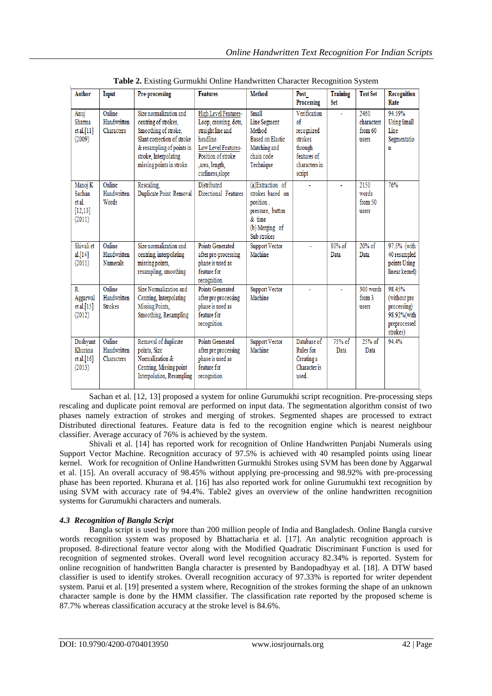| <b>Author</b>                                     | Input                                    | <b>Pre-processing</b>                                                                                                                                                                   | <b>Features</b>                                                                                                                                                    | <b>Method</b>                                                                                                      | Post<br>Processing                                                                                     | <b>Training</b><br>Set | <b>Test Set</b>                        | Recognition<br>Rate                                                              |
|---------------------------------------------------|------------------------------------------|-----------------------------------------------------------------------------------------------------------------------------------------------------------------------------------------|--------------------------------------------------------------------------------------------------------------------------------------------------------------------|--------------------------------------------------------------------------------------------------------------------|--------------------------------------------------------------------------------------------------------|------------------------|----------------------------------------|----------------------------------------------------------------------------------|
| Anuj<br>Sharma<br>et al.[11]<br>(2009)            | Online<br>Handwritten<br>Characters      | Size normalization and<br>centring of strokes,<br>Smoothing of stroke,<br>Slant correction of stroke<br>& resampling of points in<br>stroke, Interpolating<br>missing points in stroke. | High Level Features-<br>Loop, crossing, dots,<br>straight line and<br>headline.<br>Low Level Features-<br>Position of stroke<br>.area. length.<br>curliness, slope | Small<br>Line Segment<br>Method<br>Based on Elastic<br>Matching and<br>chain code<br>Technique                     | Verification<br>$\delta$<br>recognized<br>strokes<br>through<br>features of<br>characters in<br>script |                        | 2460<br>characters<br>from 60<br>users | 94.59%<br><b>Using Small</b><br>Line<br>Segmentatio<br>n                         |
| Manoj K<br>Sachan<br>et al.<br>[12, 13]<br>(2011) | Online<br>Handwritten<br>Words           | Rescaling.<br>Duplicate Point Removal                                                                                                                                                   | <b>Distributed</b><br>Directional Features                                                                                                                         | (a)Extraction of<br>strokes based on<br>position.<br>pressure, button<br>$&$ time<br>(b) Merging of<br>Sub strokes |                                                                                                        |                        | 2150<br>words<br>from 50<br>users      | 76%                                                                              |
| Shivali et<br>al.[14]<br>(2011)                   | Online<br>Handwritten<br><b>Numerals</b> | Size normalization and<br>centring, interpolating<br>missing points,<br>resampling, smoothing                                                                                           | Points Generated<br>after pre-processing<br>phase is used as<br>feature for<br>recognition                                                                         | <b>Support Vector</b><br>Machine                                                                                   | ä,                                                                                                     | $80%$ of<br>Data       | $20%$ of<br>Data                       | 97.5% (with<br>40 resampled<br>points Using<br>linear kernel)                    |
| R.<br>Aggarwal<br>et al.[15]<br>(2012)            | Online<br>Handwritten<br><b>Strokes</b>  | Size Normalization and<br>Centring, Interpolating<br>Missing Points,<br>Smoothing, Resampling                                                                                           | Points Generated<br>after pre processing<br>phase is used as<br>feature for<br>recognition                                                                         | <b>Support Vector</b><br>Machine                                                                                   |                                                                                                        |                        | 300 words<br>from 3<br>users           | 98.45%<br>(without pre<br>processing)<br>98.92%(with<br>preprocessed<br>strokes) |
| Dushyant<br>Khurana<br>et al.[16]<br>(2013)       | Online<br>Handwritten<br>Characters      | Removal of duplicate<br>points, Size<br>Normalization &<br>Centring, Missing point<br>Interpolation, Resampling                                                                         | Points Generated<br>after pre processing<br>phase is used as<br>feature for<br>recognition                                                                         | <b>Support Vector</b><br>Machine                                                                                   | Database of<br>Rules for<br>Creating a<br>Character is<br>used.                                        | 75% of<br>Data         | $25%$ of<br>Data                       | 94.4%                                                                            |

**Table 2.** Existing Gurmukhi Online Handwritten Character Recognition System

Sachan et al. [12, 13] proposed a system for online Gurumukhi script recognition. Pre-processing steps rescaling and duplicate point removal are performed on input data. The segmentation algorithm consist of two phases namely extraction of strokes and merging of strokes. Segmented shapes are processed to extract Distributed directional features. Feature data is fed to the recognition engine which is nearest neighbour classifier. Average accuracy of 76% is achieved by the system.

Shivali et al. [14] has reported work for recognition of Online Handwritten Punjabi Numerals using Support Vector Machine. Recognition accuracy of 97.5% is achieved with 40 resampled points using linear kernel. Work for recognition of Online Handwritten Gurmukhi Strokes using SVM has been done by Aggarwal et al. [15]. An overall accuracy of 98.45% without applying pre-processing and 98.92% with pre-processing phase has been reported. Khurana et al. [16] has also reported work for online Gurumukhi text recognition by using SVM with accuracy rate of 94.4%. Table2 gives an overview of the online handwritten recognition systems for Gurumukhi characters and numerals.

## *4.3 Recognition of Bangla Script*

Bangla script is used by more than 200 million people of India and Bangladesh. Online Bangla cursive words recognition system was proposed by Bhattacharia et al. [17]. An analytic recognition approach is proposed. 8-directional feature vector along with the Modified Quadratic Discriminant Function is used for recognition of segmented strokes. Overall word level recognition accuracy 82.34% is reported. System for online recognition of handwritten Bangla character is presented by Bandopadhyay et al. [18]. A DTW based classifier is used to identify strokes. Overall recognition accuracy of 97.33% is reported for writer dependent system. Parui et al. [19] presented a system where, Recognition of the strokes forming the shape of an unknown character sample is done by the HMM classifier. The classification rate reported by the proposed scheme is 87.7% whereas classification accuracy at the stroke level is 84.6%.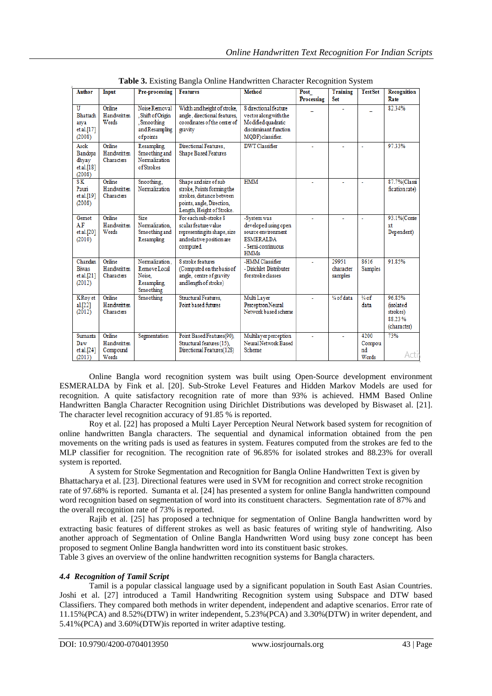| <b>Author</b>                                                       | Input                                      | Pre-processing                                                                 | <b>Features</b>                                                                                                                            | <b>Method</b>                                                                                                      | Post           | Training                      | <b>Test Set</b>               | Recognition                                                            |
|---------------------------------------------------------------------|--------------------------------------------|--------------------------------------------------------------------------------|--------------------------------------------------------------------------------------------------------------------------------------------|--------------------------------------------------------------------------------------------------------------------|----------------|-------------------------------|-------------------------------|------------------------------------------------------------------------|
|                                                                     |                                            |                                                                                |                                                                                                                                            |                                                                                                                    | Processing     | Set                           |                               | Rate                                                                   |
| $\overline{\mathtt{U}}$<br>Bhattach<br>arya<br>et al.[17]<br>(2008) | Online<br>Handwritten<br>Words             | Noise Removal<br>. Shift of Origin<br>Smoothing<br>and Resampling<br>of points | Width and height of stroke,<br>angle, directional features,<br>coordinates of the center of<br>gravity                                     | 8 directional feature<br>vector along with the<br>Modified quadratic<br>discriminant function<br>MQDF) classifier. |                |                               |                               | 82.34%                                                                 |
| Asok<br>Bandopa<br>dhyay<br>et al.[18]<br>(2008)                    | Online<br>Handwritten<br>Characters        | Resampling.<br>Smoothing and<br>Normalization<br>of Strokes                    | Directional Features.<br><b>Shape Based Features</b>                                                                                       | <b>DWT</b> Classifier                                                                                              | $\blacksquare$ |                               | ä,                            | 97.33%                                                                 |
| $S_{\rm K}$<br>Pauri<br>et al.[19]<br>(2008)                        | Online<br>Handwritten<br>Characters        | Snoothing.<br>Normalization                                                    | Shape and size of sub<br>stroke, Points forming the<br>strokes, distance between<br>points, angle, Direction,<br>Length, Height of Stroke. | <b>HMM</b>                                                                                                         | ä,             |                               | ä,                            | 87.7%(Classi<br>fication rate)                                         |
| Gernot<br>A.F<br>et al.[20]<br>(2010)                               | Online<br>Handwritten<br>Words             | Size<br>Normalization.<br>Smoothing and<br>Resampling                          | For each sub-stroke 8<br>scalar feature value<br>representing its shape, size<br>and relative position are<br>computed                     | -System was<br>developed using open<br>source environment<br><b>ESMERALDA</b><br>- Semi-continuous<br><b>HMMs</b>  |                |                               | ä,                            | 93.1%(Conte<br>xt<br>Dependent)                                        |
| Chandan<br>Biwas<br>et al.[21]<br>(2012)                            | Online<br>Handwritten<br>Characters        | Normalization.<br>Remove Local<br>Noise.<br>Resampling.<br>Smoothing           | 8 stroke features<br>(Computed on the basis of<br>angle, centre of gravity<br>and length of stroke)                                        | -HMM Classifier<br>- Dirichlet Distributer<br>for stroke classes                                                   |                | 29951<br>character<br>samples | 8616<br><b>Samples</b>        | 91.85%                                                                 |
| <b>KRoy</b> et<br>al.[22]<br>(2012)                                 | Online<br>Handwritten<br>Characters        | Smoothing                                                                      | Structural Features.<br>Point based futures                                                                                                | Multi Layer<br>Perceptron Neural<br>Network based scheme                                                           | ٠              | 1/4 of data                   | $\frac{3}{4}$ of<br>data      | 96.85%<br><i><b>fisolated</b></i><br>strokes)<br>88.23%<br>(character) |
| Sumanta<br>Daw<br>et al.[24]<br>(2013)                              | Online<br>Handwritten<br>Compound<br>Words | Segmentation                                                                   | Point Based Features(90),<br>Structural features (15).<br>Directional Features(128)                                                        | Multilayer perception<br>Neural Network Based<br>Scheme                                                            |                |                               | 4200<br>Compou<br>nd<br>Words | 73%<br>Acti                                                            |

**Table 3.** Existing Bangla Online Handwritten Character Recognition System

Online Bangla word recognition system was built using Open-Source development environment ESMERALDA by Fink et al. [20]. Sub-Stroke Level Features and Hidden Markov Models are used for recognition. A quite satisfactory recognition rate of more than 93% is achieved. HMM Based Online Handwritten Bangla Character Recognition using Dirichlet Distributions was developed by Biswaset al. [21]. The character level recognition accuracy of 91.85 % is reported.

Roy et al. [22] has proposed a Multi Layer Perception Neural Network based system for recognition of online handwritten Bangla characters. The sequential and dynamical information obtained from the pen movements on the writing pads is used as features in system. Features computed from the strokes are fed to the MLP classifier for recognition. The recognition rate of 96.85% for isolated strokes and 88.23% for overall system is reported.

A system for Stroke Segmentation and Recognition for Bangla Online Handwritten Text is given by Bhattacharya et al. [23]. Directional features were used in SVM for recognition and correct stroke recognition rate of 97.68% is reported. Sumanta et al. [24] has presented a system for online Bangla handwritten compound word recognition based on segmentation of word into its constituent characters. Segmentation rate of 87% and the overall recognition rate of 73% is reported.

Rajib et al. [25] has proposed a technique for segmentation of Online Bangla handwritten word by extracting basic features of different strokes as well as basic features of writing style of handwriting. Also another approach of Segmentation of Online Bangla Handwritten Word using busy zone concept has been proposed to segment Online Bangla handwritten word into its constituent basic strokes.

Table 3 gives an overview of the online handwritten recognition systems for Bangla characters.

# *4.4 Recognition of Tamil Script*

Tamil is a popular classical language used by a significant population in South East Asian Countries. Joshi et al. [27] introduced a Tamil Handwriting Recognition system using Subspace and DTW based Classifiers. They compared both methods in writer dependent, independent and adaptive scenarios. Error rate of 11.15%(PCA) and 8.52%(DTW) in writer independent, 5.23%(PCA) and 3.30%(DTW) in writer dependent, and 5.41%(PCA) and 3.60%(DTW)is reported in writer adaptive testing.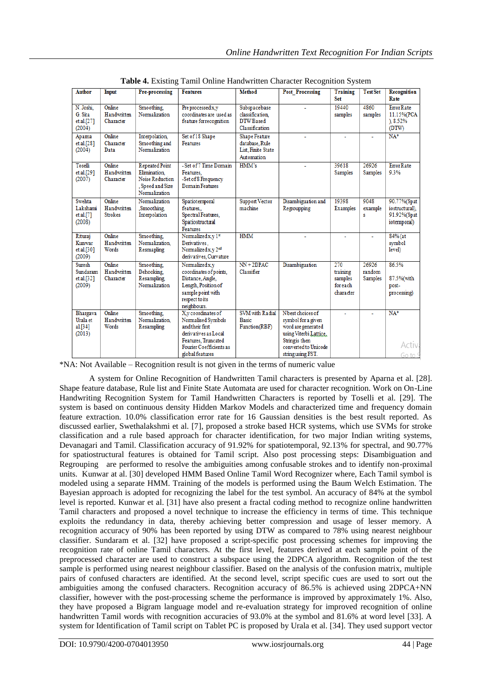| <b>Author</b>                                     | Input                                   | Pre-processing                                                                                | <b>Features</b>                                                                                                                                                     | <b>Method</b>                                                              | <b>Post Processing</b>                                                                                                                                | Training<br>Set                                     | <b>Test Set</b>                   | Recognition<br>Rate                                         |
|---------------------------------------------------|-----------------------------------------|-----------------------------------------------------------------------------------------------|---------------------------------------------------------------------------------------------------------------------------------------------------------------------|----------------------------------------------------------------------------|-------------------------------------------------------------------------------------------------------------------------------------------------------|-----------------------------------------------------|-----------------------------------|-------------------------------------------------------------|
| N. Joshi.<br>G. Sita<br>et al.[27]<br>(2004)      | Online<br>Handwritten<br>Character      | Smoothing.<br>Normalization                                                                   | Pre processed x,y<br>coordinates are used as<br>feature for recognition                                                                                             | Subspacebase<br>classification<br>DTW Based<br>Classification              |                                                                                                                                                       | 19440<br>samples                                    | 4860<br>samples                   | <b>Error Rate</b><br>11.15%(PCA<br>), 8.52%<br>(DTW)        |
| Apama<br>et al.[28]<br>(2004)                     | Online<br>Character<br>Data             | Interpolation<br>Smoothing and<br>Normalization                                               | Set of 18 Shape<br>Features                                                                                                                                         | <b>Shape Feature</b><br>database, Rule<br>List, Finite State<br>Automation |                                                                                                                                                       |                                                     |                                   | $NA*$                                                       |
| Toselli<br>et al.[29]<br>(2007)                   | Online<br>Handwritten<br>Character      | <b>Repeated Point</b><br>Elimination.<br>Noise Reduction<br>, Speed and Size<br>Normalization | - Set of 7 Time Domain<br>Features.<br>-Set of 8 Frequency<br><b>Domain Features</b>                                                                                | HMM's                                                                      |                                                                                                                                                       | 39618<br>Samples                                    | 26926<br><b>Samples</b>           | <b>Error Rate</b><br>9.3%                                   |
| Swehta<br>Lakshami<br>et al.[7]<br>(2008)         | Online<br>Handwritten<br><b>Strokes</b> | Normalization<br>Smoothing.<br>Interpolation                                                  | Spatiotemporal<br>features<br>Spectral Features,<br>Spatiostructural<br>Features                                                                                    | <b>Support Vector</b><br>machine                                           | Disambiguation and<br>Regroupping                                                                                                                     | 19398<br><b>Examples</b>                            | 9048<br>example<br>Ś              | 90.77%(Spat<br>iostructural).<br>91.92%(Spat<br>iotemporal) |
| Rituraj<br>Kunwar<br>et al.[30]<br>(2009)         | Online<br>Handwritten<br>Words          | Smoothing.<br>Normalization.<br>Resmapling                                                    | Normalized x, y 1st<br>Derivatives.<br>Normalized x,y 2nd<br>derivatives. Curvature                                                                                 | <b>HMM</b>                                                                 |                                                                                                                                                       |                                                     | ä,                                | 84% (at<br>symbol<br>level)                                 |
| <b>Suresh</b><br>Sundaram<br>et al.[32]<br>(2009) | Online<br>Handwritten<br>Character      | Smoothing.<br>Dehooking.<br>Resampling,<br>Normalization                                      | Normalized x.v<br>coordinates of points.<br>Distance, Angle,<br>Length, Position of<br>sample point with<br>respect to its<br>neighbours.                           | $NN + 2DPAC$<br>Classifier                                                 | Disambiguation                                                                                                                                        | 270<br>training<br>samples<br>for each<br>character | 26926<br>random<br><b>Samples</b> | 86.5%<br>87.5%(with<br>post-<br>processing)                 |
| Bhargava<br>Urala et<br>al.[34]<br>(2013)         | Online<br>Handwritten<br>Words          | Smoothing.<br>Normalization.<br>Resampling                                                    | X <sub>v</sub> coordinates of<br>Normalised Symbols<br>and their first<br>derivatives as Local<br>Features, Truncated<br>Fourier Coefficients as<br>global features | <b>SVM</b> with Radial<br><b>Basic</b><br>Function(RBF)                    | Nhest choices of<br>symbol for a given<br>word are generated<br>using Viterbi Lattice.<br>String is then<br>converted to Unicode<br>string using FST. | ٠                                                   |                                   | $NA*$<br><b>Activa</b><br>Go to S                           |

**Table 4.** Existing Tamil Online Handwritten Character Recognition System

\*NA: Not Available – Recognition result is not given in the terms of numeric value

A system for Online Recognition of Handwritten Tamil characters is presented by Aparna et al. [28]. Shape feature database, Rule list and Finite State Automata are used for character recognition. Work on On-Line Handwriting Recognition System for Tamil Handwritten Characters is reported by Toselli et al. [29]. The system is based on continuous density Hidden Markov Models and characterized time and frequency domain feature extraction. 10.0% classification error rate for 16 Gaussian densities is the best result reported. As discussed earlier, Swethalakshmi et al. [7], proposed a stroke based HCR systems, which use SVMs for stroke classification and a rule based approach for character identification, for two major Indian writing systems, Devanagari and Tamil. Classification accuracy of 91.92% for spatiotemporal, 92.13% for spectral, and 90.77% for spatiostructural features is obtained for Tamil script. Also post processing steps: Disambiguation and Regrouping are performed to resolve the ambiguities among confusable strokes and to identify non-proximal units. Kunwar at al. [30] developed HMM Based Online Tamil Word Recognizer where, Each Tamil symbol is modeled using a separate HMM. Training of the models is performed using the Baum Welch Estimation. The Bayesian approach is adopted for recognizing the label for the test symbol. An accuracy of 84% at the symbol level is reported. Kunwar et al. [31] have also present a fractal coding method to recognize online handwritten Tamil characters and proposed a novel technique to increase the efficiency in terms of time. This technique exploits the redundancy in data, thereby achieving better compression and usage of lesser memory. A recognition accuracy of 90% has been reported by using DTW as compared to 78% using nearest neighbour classifier. Sundaram et al. [32] have proposed a script-specific post processing schemes for improving the recognition rate of online Tamil characters. At the first level, features derived at each sample point of the preprocessed character are used to construct a subspace using the 2DPCA algorithm. Recognition of the test sample is performed using nearest neighbour classifier. Based on the analysis of the confusion matrix, multiple pairs of confused characters are identified. At the second level, script specific cues are used to sort out the ambiguities among the confused characters. Recognition accuracy of 86.5% is achieved using 2DPCA+NN classifier, however with the post-processing scheme the performance is improved by approximately 1%. Also, they have proposed a Bigram language model and re-evaluation strategy for improved recognition of online handwritten Tamil words with recognition accuracies of 93.0% at the symbol and 81.6% at word level [33]. A system for Identification of Tamil script on Tablet PC is proposed by Urala et al. [34]. They used support vector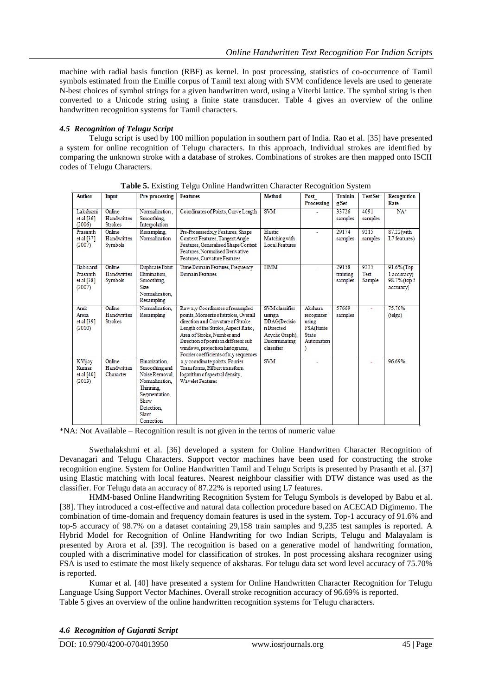machine with radial basis function (RBF) as kernel. In post processing, statistics of co-occurrence of Tamil symbols estimated from the Emille corpus of Tamil text along with SVM confidence levels are used to generate N-best choices of symbol strings for a given handwritten word, using a Viterbi lattice. The symbol string is then converted to a Unicode string using a finite state transducer. Table 4 gives an overview of the online handwritten recognition systems for Tamil characters.

#### *4.5 Recognition of Telugu Script*

Telugu script is used by 100 million population in southern part of India. Rao et al. [35] have presented a system for online recognition of Telugu characters. In this approach, Individual strokes are identified by comparing the unknown stroke with a database of strokes. Combinations of strokes are then mapped onto ISCII codes of Telugu Characters.

| <b>Author</b>                                       | Input                                   | Pre-processing                                                                                                                                           | <b>Features</b>                                                                                                                                                                                                                                                                                      | <b>Method</b>                                                                                                     | Post<br>Processing                                                                | <b>Trainin</b><br>g Set      | <b>Test Set</b>               | Recognition<br>Rate                                    |
|-----------------------------------------------------|-----------------------------------------|----------------------------------------------------------------------------------------------------------------------------------------------------------|------------------------------------------------------------------------------------------------------------------------------------------------------------------------------------------------------------------------------------------------------------------------------------------------------|-------------------------------------------------------------------------------------------------------------------|-----------------------------------------------------------------------------------|------------------------------|-------------------------------|--------------------------------------------------------|
| Lakshami<br>et al. $[36]$<br>(2006)                 | Online<br>Handwritten<br><b>Strokes</b> | Normalization.<br>Smoothing.<br>Interpolation                                                                                                            | Coordinates of Points, Curve Length                                                                                                                                                                                                                                                                  | <b>SVM</b>                                                                                                        |                                                                                   | 33726<br>samples             | 4091<br>samples               | $NA*$                                                  |
| Prasanth<br>et al.[37]<br>(2007)                    | Online<br>Handwritten<br>Symbols        | Resampling.<br>Normalization                                                                                                                             | Pre-Prosessed x.y Features, Shape<br>Context Features, Tangent Angle<br>Features, Generalised Shape Context<br>Features, Normalised Derivative<br>Features, Curvature Features,                                                                                                                      | Elastic<br>Matching with<br><b>Local Features</b>                                                                 |                                                                                   | 29174<br>samples             | 9215<br>samples               | 87.22(with<br>L7 features)                             |
| <b>Babu</b> and<br>Prasanth<br>et al.[38]<br>(2007) | Online<br>Handwritten<br>Symbols        | Duplicate Point<br>Elimination.<br>Smoothing.<br><b>Size</b><br>Normalization.<br>Resampling                                                             | Time Domain Features, Frequency<br>Domain Features                                                                                                                                                                                                                                                   | <b>HMM</b>                                                                                                        |                                                                                   | 29158<br>training<br>samples | 9235<br><b>Test</b><br>Sample | 91.6% (Top<br>1 accuracy)<br>98.7% (top 5<br>accuracy) |
| Amit<br>Arora<br>et al.[39]<br>(2010)               | Online<br>Handwritten<br><b>Strokes</b> | Normalization.<br>Resampling                                                                                                                             | Rawx.v Coordinates of resampled<br>points. Moments of strokes, Overall<br>direction and Curvature of Stroke<br>Length of the Stroke, Aspect Ratio,<br>Area of Stroke, Number and<br>Direction of points in different sub<br>windows, projection histograms,<br>Fourier coefficients of x,y sequences | SVM classifier<br>using a<br><b>DDAG(Decisio</b><br>n Directed<br>Acyclic Graph),<br>Discriminating<br>classifier | Akshara<br>recognizer<br>using<br><b>FSA(Finite</b><br><b>State</b><br>Automation | 57669<br>samples             | ÷                             | 75.70%<br>(telgu)                                      |
| KVijay<br>Kumar<br>et al.[40]<br>(2013)             | Online<br>Handwritten<br>Character      | <b>Binarization</b><br>Smoothing and<br>Noise Removal<br>Normalization.<br>Thinning.<br><b>Segmentation</b><br>Skew<br>Detection,<br>Slant<br>Correction | x, y coordinate points, Fourier<br>Transforms. Hilbert transform<br>logarithm of spectral density,<br><b>Wavelet Features</b>                                                                                                                                                                        | <b>SVM</b>                                                                                                        |                                                                                   |                              |                               | 96.69%                                                 |

**Table 5.** Existing Telgu Online Handwritten Character Recognition System

\*NA: Not Available – Recognition result is not given in the terms of numeric value

Swethalakshmi et al. [36] developed a system for Online Handwritten Character Recognition of Devanagari and Telugu Characters. Support vector machines have been used for constructing the stroke recognition engine. System for Online Handwritten Tamil and Telugu Scripts is presented by Prasanth et al. [37] using Elastic matching with local features. Nearest neighbour classifier with DTW distance was used as the classifier. For Telugu data an accuracy of 87.22% is reported using L7 features.

HMM-based Online Handwriting Recognition System for Telugu Symbols is developed by Babu et al. [38]. They introduced a cost-effective and natural data collection procedure based on ACECAD Digimemo. The combination of time-domain and frequency domain features is used in the system. Top-1 accuracy of 91.6% and top-5 accuracy of 98.7% on a dataset containing 29,158 train samples and 9,235 test samples is reported. A Hybrid Model for Recognition of Online Handwriting for two Indian Scripts, Telugu and Malayalam is presented by Arora et al. [39]. The recognition is based on a generative model of handwriting formation, coupled with a discriminative model for classification of strokes. In post processing akshara recognizer using FSA is used to estimate the most likely sequence of aksharas. For telugu data set word level accuracy of 75.70% is reported.

Kumar et al. [40] have presented a system for Online Handwritten Character Recognition for Telugu Language Using Support Vector Machines. Overall stroke recognition accuracy of 96.69% is reported. Table 5 gives an overview of the online handwritten recognition systems for Telugu characters.

*4.6 Recognition of Gujarati Script*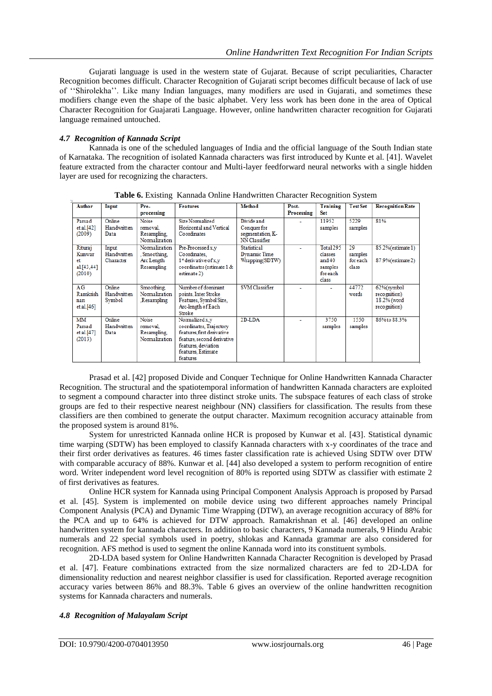Gujarati language is used in the western state of Gujarat. Because of script peculiarities, Character Recognition becomes difficult. Character Recognition of Gujarati script becomes difficult because of lack of use of ""Shirolekha"". Like many Indian languages, many modifiers are used in Gujarati, and sometimes these modifiers change even the shape of the basic alphabet. Very less work has been done in the area of Optical Character Recognition for Guajarati Language. However, online handwritten character recognition for Gujarati language remained untouched.

### *4.7 Recognition of Kannada Script*

Kannada is one of the scheduled languages of India and the official language of the South Indian state of Karnataka. The recognition of isolated Kannada characters was first introduced by Kunte et al. [41]. Wavelet feature extracted from the character contour and Multi-layer feedforward neural networks with a single hidden layer are used for recognizing the characters.

|                                                 | $\mathbf{r}$ and $\mathbf{v}$ , $\mathbf{r}$ and $\mathbf{r}$<br><b>Trainman Omnie Hand Written Omnaeter Recognition Dybiem</b> |                                                           |                                                                                                                                                                |                                                                |                     |                                                                 |                                    |                                                           |  |  |
|-------------------------------------------------|---------------------------------------------------------------------------------------------------------------------------------|-----------------------------------------------------------|----------------------------------------------------------------------------------------------------------------------------------------------------------------|----------------------------------------------------------------|---------------------|-----------------------------------------------------------------|------------------------------------|-----------------------------------------------------------|--|--|
| Author                                          | Input                                                                                                                           | Pre-<br>processing                                        | <b>Features</b>                                                                                                                                                | Method                                                         | Post-<br>Processing | <b>Training</b><br><b>Set</b>                                   | <b>Test Set</b>                    | <b>Recognition Rate</b>                                   |  |  |
| Parsad<br>et al.[42]<br>(2009)                  | Online<br>Handwritten<br>Data                                                                                                   | <b>Noise</b><br>removal.<br>Resampling,<br>Normalization  | Size Normalized<br>Horizontal and Vertical<br>Coordinates                                                                                                      | Divide and<br>Conquer for<br>segmentation, K-<br>NN Classifier |                     | 11952<br>samples                                                | 5229<br>samples                    | 81%                                                       |  |  |
| Rituraj<br>Kunwar<br>et<br>al.[43,44]<br>(2010) | Input<br>Handwritten<br>Character                                                                                               | Normalization<br>, Smoothing,<br>Arc Length<br>Resampling | Pre-Processed x,y<br>Coordinates.<br>1 <sup><i>z</i></sup> derivative of x, y<br>coordinates (estimate 1 &<br>estimate 2)                                      | Statistical<br>Dynamic Time<br>Wrapping(SDTW)                  |                     | Total 295<br>classes<br>and $40$<br>samples<br>foreach<br>class | 29<br>samples<br>for each<br>class | 85.2%(estimate 1)<br>87.9% (estimate 2)                   |  |  |
| AG<br>Ramkrish<br>nan<br>et al.[46]             | Online<br>Handwritten<br>Symbol                                                                                                 | Smoothing.<br>Normalization<br>Resampling,                | Number of dominant<br>points, Inter Stroke<br>Features, Symbol Size,<br>Arc-length of Each<br>Stroke                                                           | <b>SVM</b> Classifier                                          |                     |                                                                 | 44772<br>words                     | 62%(symbol<br>recognition)<br>18.2% (word<br>recognition) |  |  |
| MM<br>Parsad<br>et al. $[47]$<br>(2013)         | Online<br>Handwritten<br>Data                                                                                                   | <b>Noise</b><br>removal.<br>Resampling,<br>Normalization  | Normalized x,y<br>coordinates, Trajectory<br>features, first derivative<br>feature, second derivative<br>features, deviation<br>features, Estimate<br>features | $2D-LDA$                                                       |                     | 3750<br>samples                                                 | 1550<br>samples                    | 86% to 88.3%                                              |  |  |

**Table 6.** Existing Kannada Online Handwritten Character Recognition System

Prasad et al. [42] proposed Divide and Conquer Technique for Online Handwritten Kannada Character Recognition. The structural and the spatiotemporal information of handwritten Kannada characters are exploited to segment a compound character into three distinct stroke units. The subspace features of each class of stroke groups are fed to their respective nearest neighbour (NN) classifiers for classification. The results from these classifiers are then combined to generate the output character. Maximum recognition accuracy attainable from the proposed system is around 81%.

System for unrestricted Kannada online HCR is proposed by Kunwar et al. [43]. Statistical dynamic time warping (SDTW) has been employed to classify Kannada characters with x-y coordinates of the trace and their first order derivatives as features. 46 times faster classification rate is achieved Using SDTW over DTW with comparable accuracy of 88%. Kunwar et al. [44] also developed a system to perform recognition of entire word. Writer independent word level recognition of 80% is reported using SDTW as classifier with estimate 2 of first derivatives as features.

Online HCR system for Kannada using Principal Component Analysis Approach is proposed by Parsad et al. [45]. System is implemented on mobile device using two different approaches namely Principal Component Analysis (PCA) and Dynamic Time Wrapping (DTW), an average recognition accuracy of 88% for the PCA and up to 64% is achieved for DTW approach. Ramakrishnan et al. [46] developed an online handwritten system for kannada characters. In addition to basic characters, 9 Kannada numerals, 9 Hindu Arabic numerals and 22 special symbols used in poetry, shlokas and Kannada grammar are also considered for recognition. AFS method is used to segment the online Kannada word into its constituent symbols.

2D-LDA based system for Online Handwritten Kannada Character Recognition is developed by Prasad et al. [47]. Feature combinations extracted from the size normalized characters are fed to 2D-LDA for dimensionality reduction and nearest neighbor classifier is used for classification. Reported average recognition accuracy varies between 86% and 88.3%. Table 6 gives an overview of the online handwritten recognition systems for Kannada characters and numerals.

#### *4.8 Recognition of Malayalam Script*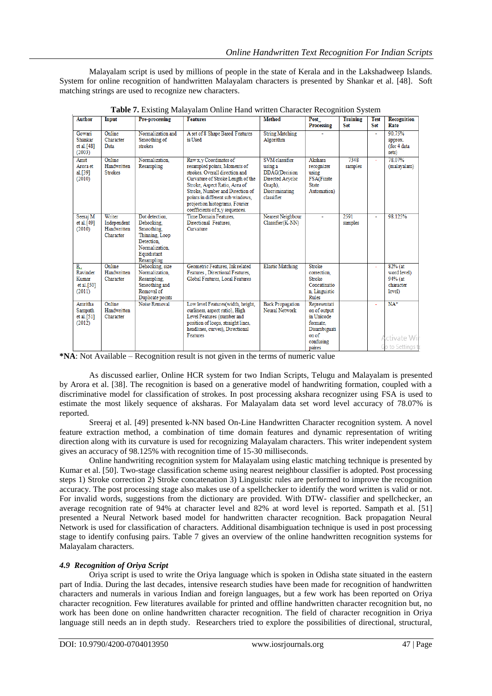Malayalam script is used by millions of people in the state of Kerala and in the Lakshadweep Islands. System for online recognition of handwritten Malayalam characters is presented by Shankar et al. [48]. Soft matching strings are used to recognize new characters.

| <b>Author</b>                                      | Input                                             | Pre-processing                                                                                                            | <b>Features</b>                                                                                                                                                                                                                                                                                             | <b>Method</b>                                                                                                     | Post<br><b>Processing</b>                                                                    | <b>Training</b><br><b>Set</b> | <b>Test</b><br><b>Set</b> | <b>Recognition</b><br>Rate                                 |
|----------------------------------------------------|---------------------------------------------------|---------------------------------------------------------------------------------------------------------------------------|-------------------------------------------------------------------------------------------------------------------------------------------------------------------------------------------------------------------------------------------------------------------------------------------------------------|-------------------------------------------------------------------------------------------------------------------|----------------------------------------------------------------------------------------------|-------------------------------|---------------------------|------------------------------------------------------------|
| Gowari<br>Shankar<br>et al. [48]<br>(2003)         | Online<br>Character<br>Data                       | Normalization and<br>Smoothing of<br>strokes                                                                              | A set of 8 Shape Based Features<br>is Used                                                                                                                                                                                                                                                                  | <b>String Matching</b><br>Algorithm                                                                               |                                                                                              |                               | ٠                         | 90.75%<br>approx.<br>(for 4 data<br>sets)                  |
| Amit<br>Arora et<br>al.[39]<br>(2010)              | Online<br>Handwritten<br><b>Strokes</b>           | Normalization.<br>Resampling                                                                                              | Raw x, y Coordinates of<br>resampled points, Moments of<br>strokes. Overall direction and<br>Curvature of Stroke Length of the<br>Stroke, Aspect Ratio, Area of<br>Stroke, Number and Direction of<br>points in different sub windows,<br>projection histograms, Fourier<br>coefficients of x, y sequences. | SVM classifier<br>using a<br><b>DDAG</b> (Decision<br>Directed Acyclic<br>Graph).<br>Discriminating<br>classifier | Akshara<br>recognizer<br>using<br><b>FSA(Finite</b><br><b>State</b><br>Automation)           | 7348<br>samples               |                           | 78.07%<br>(malayalam)                                      |
| Seeraj M<br>et al. $[49]$<br>(2010)                | Writer<br>Independent<br>Handwritten<br>Character | Dot detection.<br>Dehooking.<br>Smoothing.<br>Thinning, Loop<br>Detection.<br>Normalization.<br>Equidistant<br>Resampling | Time Domain Features,<br>Directional Features.<br>Curvature                                                                                                                                                                                                                                                 | Nearest Neighbour<br>$Classifier(K-NN)$                                                                           |                                                                                              | 2591<br>samples               |                           | 98.125%                                                    |
| R.<br>Ravinder<br>Kumar<br>et al. $[50]$<br>(2011) | Online<br>Handwritten<br>Character                | Dehooking, size<br>Normalization.<br>Resampling,<br>Smoothing and<br>Removal of<br>Duplicate points                       | Geometric Features, Ink related<br>Features . Directional Features.<br>Global Features, Local Features                                                                                                                                                                                                      | <b>Elastic Matching</b>                                                                                           | Stroke<br>correction.<br><b>Stroke</b><br>Concatinatio<br>n, Linguistic<br>Rules             |                               |                           | $82%$ (at<br>word level)<br>94% (at<br>character<br>level) |
| Amritha<br>Sampath<br>et al.[51]<br>(2012)         | Online<br>Handwritten<br>Character                | Noise Removal                                                                                                             | Low level Features(width, height,<br>curliness, aspect ratio), High<br>Level Features (number and<br>position of loops, straight lines,<br>headlines, curves), Directional<br>Features                                                                                                                      | <b>Back Propagation</b><br>Neural Network                                                                         | Representati<br>on of output<br>in Unicode<br>formate.<br>Disambiguati<br>on of<br>confusing |                               |                           | $NA*$<br>Activate Wi<br>Cota Settings                      |
|                                                    |                                                   |                                                                                                                           |                                                                                                                                                                                                                                                                                                             |                                                                                                                   |                                                                                              |                               |                           |                                                            |

**Table 7.** Existing Malayalam Online Hand written Character Recognition System

**\*NA**: Not Available – Recognition result is not given in the terms of numeric value

As discussed earlier, Online HCR system for two Indian Scripts, Telugu and Malayalam is presented by Arora et al. [38]. The recognition is based on a generative model of handwriting formation, coupled with a discriminative model for classification of strokes. In post processing akshara recognizer using FSA is used to estimate the most likely sequence of aksharas. For Malayalam data set word level accuracy of 78.07% is reported.

Sreeraj et al. [49] presented k-NN based On-Line Handwritten Character recognition system. A novel feature extraction method, a combination of time domain features and dynamic representation of writing direction along with its curvature is used for recognizing Malayalam characters. This writer independent system gives an accuracy of 98.125% with recognition time of 15-30 milliseconds.

Online handwriting recognition system for Malayalam using elastic matching technique is presented by Kumar et al. [50]. Two-stage classification scheme using nearest neighbour classifier is adopted. Post processing steps 1) Stroke correction 2) Stroke concatenation 3) Linguistic rules are performed to improve the recognition accuracy. The post processing stage also makes use of a spellchecker to identify the word written is valid or not. For invalid words, suggestions from the dictionary are provided. With DTW- classifier and spellchecker, an average recognition rate of 94% at character level and 82% at word level is reported. Sampath et al. [51] presented a Neural Network based model for handwritten character recognition. Back propagation Neural Network is used for classification of characters. Additional disambiguation technique is used in post processing stage to identify confusing pairs. Table 7 gives an overview of the online handwritten recognition systems for Malayalam characters.

#### *4.9 Recognition of Oriya Script*

Oriya script is used to write the Oriya language which is spoken in Odisha state situated in the eastern part of India. During the last decades, intensive research studies have been made for recognition of handwritten characters and numerals in various Indian and foreign languages, but a few work has been reported on Oriya character recognition. Few literatures available for printed and offline handwritten character recognition but, no work has been done on online handwritten character recognition. The field of character recognition in Oriya language still needs an in depth study. Researchers tried to explore the possibilities of directional, structural,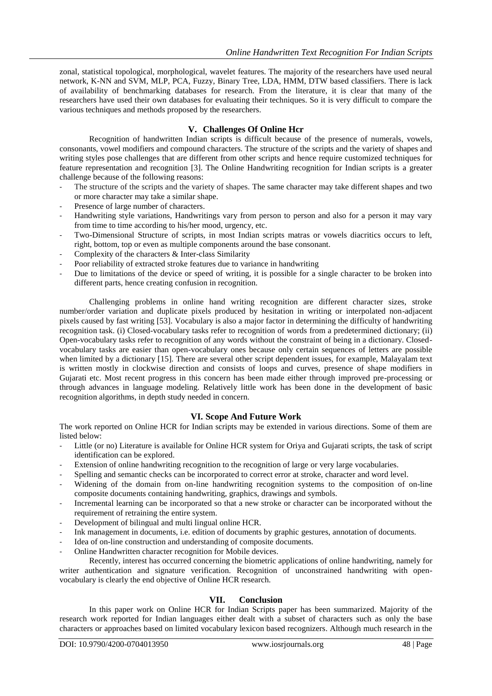zonal, statistical topological, morphological, wavelet features. The majority of the researchers have used neural network, K-NN and SVM, MLP, PCA, Fuzzy, Binary Tree, LDA, HMM, DTW based classifiers. There is lack of availability of benchmarking databases for research. From the literature, it is clear that many of the researchers have used their own databases for evaluating their techniques. So it is very difficult to compare the various techniques and methods proposed by the researchers.

#### **V. Challenges Of Online Hcr**

Recognition of handwritten Indian scripts is difficult because of the presence of numerals, vowels, consonants, vowel modifiers and compound characters. The structure of the scripts and the variety of shapes and writing styles pose challenges that are different from other scripts and hence require customized techniques for feature representation and recognition [3]. The Online Handwriting recognition for Indian scripts is a greater challenge because of the following reasons:

- The structure of the scripts and the variety of shapes. The same character may take different shapes and two or more character may take a similar shape.
- Presence of large number of characters.
- Handwriting style variations, Handwritings vary from person to person and also for a person it may vary from time to time according to his/her mood, urgency, etc.
- Two-Dimensional Structure of scripts, in most Indian scripts matras or vowels diacritics occurs to left, right, bottom, top or even as multiple components around the base consonant.
- Complexity of the characters & Inter-class Similarity
- Poor reliability of extracted stroke features due to variance in handwriting
- Due to limitations of the device or speed of writing, it is possible for a single character to be broken into different parts, hence creating confusion in recognition.

Challenging problems in online hand writing recognition are different character sizes, stroke number/order variation and duplicate pixels produced by hesitation in writing or interpolated non-adjacent pixels caused by fast writing [53]. Vocabulary is also a major factor in determining the difficulty of handwriting recognition task. (i) Closed-vocabulary tasks refer to recognition of words from a predetermined dictionary; (ii) Open-vocabulary tasks refer to recognition of any words without the constraint of being in a dictionary. Closedvocabulary tasks are easier than open-vocabulary ones because only certain sequences of letters are possible when limited by a dictionary [15]. There are several other script dependent issues, for example, Malayalam text is written mostly in clockwise direction and consists of loops and curves, presence of shape modifiers in Gujarati etc. Most recent progress in this concern has been made either through improved pre-processing or through advances in language modeling. Relatively little work has been done in the development of basic recognition algorithms, in depth study needed in concern.

#### **VI. Scope And Future Work**

The work reported on Online HCR for Indian scripts may be extended in various directions. Some of them are listed below:

- Little (or no) Literature is available for Online HCR system for Oriya and Gujarati scripts, the task of script identification can be explored.
- Extension of online handwriting recognition to the recognition of large or very large vocabularies.
- Spelling and semantic checks can be incorporated to correct error at stroke, character and word level.
- Widening of the domain from on-line handwriting recognition systems to the composition of on-line composite documents containing handwriting, graphics, drawings and symbols.
- Incremental learning can be incorporated so that a new stroke or character can be incorporated without the requirement of retraining the entire system.
- Development of bilingual and multi lingual online HCR.
- Ink management in documents, i.e. edition of documents by graphic gestures, annotation of documents.
- Idea of on-line construction and understanding of composite documents.
- Online Handwritten character recognition for Mobile devices.

Recently, interest has occurred concerning the biometric applications of online handwriting, namely for writer authentication and signature verification. Recognition of unconstrained handwriting with openvocabulary is clearly the end objective of Online HCR research.

### **VII. Conclusion**

In this paper work on Online HCR for Indian Scripts paper has been summarized. Majority of the research work reported for Indian languages either dealt with a subset of characters such as only the base characters or approaches based on limited vocabulary lexicon based recognizers. Although much research in the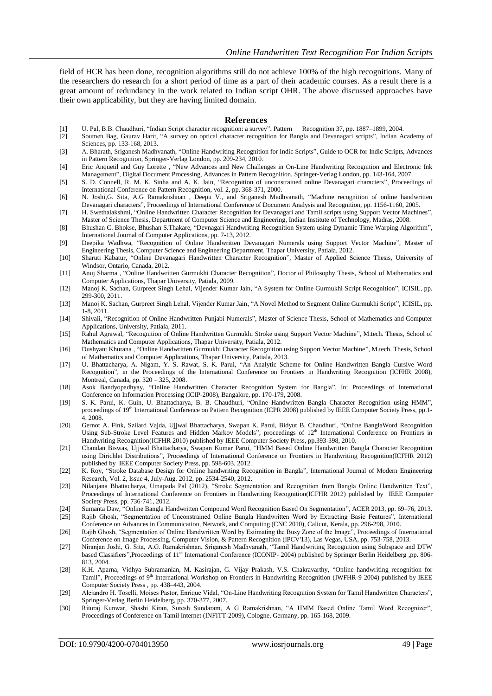field of HCR has been done, recognition algorithms still do not achieve 100% of the high recognitions. Many of the researchers do research for a short period of time as a part of their academic courses. As a result there is a great amount of redundancy in the work related to Indian script OHR. The above discussed approaches have their own applicability, but they are having limited domain.

#### **References**

- [1] U. Pal, B.B. Chaudhuri, "Indian Script character recognition: a survey", Pattern Recognition 37, pp. 1887–1899, 2004.
- [2] Soumen Bag, Gaurav Harit, "A survey on optical character recognition for Bangla and Devanagari scripts", Indian Academy of Sciences, pp. 133-168, 2013.
- [3] A. Bharath, Sriganesh Madhvanath, "Online Handwriting Recognition for Indic Scripts", Guide to OCR for Indic Scripts, Advances in Pattern Recognition, Springer-Verlag London, pp. 209-234, 2010.
- [4] Eric Anquetil and Guy Lorette , "New Advances and New Challenges in On-Line Handwriting Recognition and Electronic Ink Management", Digital Document Processing, Advances in Pattern Recognition, Springer-Verlag London, pp. 143-164, 2007.
- [5] S. D. Connell, R. M. K. Sinha and A. K. Jain, "Recognition of unconstrained online Devanagari characters", Proceedings of International Conference on Pattern Recognition, vol. 2, pp. 368-371, 2000.
- [6] N. Joshi,G. Sita, A.G Ramakrishnan , Deepu V., and Sriganesh Madhvanath, "Machine recognition of online handwritten Devanagari characters", Proceedings of International Conference of Document Analysis and Recognition, pp. 1156-1160, 2005.
- [7] H. Swethalakshmi, "Online Handwritten Character Recognition for Devanagari and Tamil scripts using Support Vector Machines", Master of Science Thesis, Department of Computer Science and Engineering, Indian Institute of Technology, Madras, 2008.
- [8] Bhushan C. Bhokse, Bhushan S.Thakare, "Devnagari Handwriting Recognition System using Dynamic Time Warping Algorithm", International Journal of Computer Applications, pp. 7-13, 2012.
- [9] Deepika Wadhwa, "Recognition of Online Handwritten Devanagari Numerals using Support Vector Machine", Master of Engineering Thesis, Computer Science and Engineering Department, Thapar University, Patiala, 2012.
- [10] Sharuti Kabatur, "Online Devanagari Handwritten Character Recognition", Master of Applied Science Thesis, University of Windsor, Ontario, Canada, 2012.
- [11] Anuj Sharma , "Online Handwritten Gurmukhi Character Recognition", Doctor of Philosophy Thesis, School of Mathematics and Computer Applications, Thapar University, Patiala, 2009.
- [12] Manoj K. Sachan, Gurpreet Singh Lehal, Vijender Kumar Jain, "A System for Online Gurmukhi Script Recognition", ICISIL, pp. 299-300, 2011.
- [13] Manoj K. Sachan, Gurpreet Singh Lehal, Vijender Kumar Jain, "A Novel Method to Segment Online Gurmukhi Script", ICISIL, pp. 1-8, 2011.
- [14] Shivali, "Recognition of Online Handwritten Punjabi Numerals", Master of Science Thesis, School of Mathematics and Computer Applications, University, Patiala, 2011.
- [15] Rahul Agrawal, "Recognition of Online Handwritten Gurmukhi Stroke using Support Vector Machine", M.tech. Thesis, School of Mathematics and Computer Applications, Thapar University, Patiala, 2012.
- [16] Dushyant Khurana , "Online Handwritten Gurmukhi Character Recognition using Support Vector Machine", M.tech. Thesis, School of Mathematics and Computer Applications, Thapar University, Patiala, 2013.
- [17] U. Bhattacharya, A. Nigam, Y. S. Rawat, S. K. Parui, "An Analytic Scheme for Online Handwritten Bangla Cursive Word Recognition", in the Proceedings of the International Conference on Frontiers in Handwriting Recognition (ICFHR 2008), Montreal, Canada, pp. 320 – 325, 2008.
- [18] Asok Bandyopadhyay, "Online Handwritten Character Recognition System for Bangla", In: Proceedings of International Conference on Information Processing (ICIP-2008), Bangalore, pp. 170-179, 2008.
- [19] S. K. Parui, K. Guin, U. Bhattacharya, B. B. Chaudhuri, "Online Handwritten Bangla Character Recognition using HMM", proceedings of 19<sup>th</sup> International Conference on Pattern Recognition (ICPR 2008) published by IEEE Computer Society Press, pp.1-4. 2008.
- [20] Gernot A. Fink, Szilard Vajda, Ujjwal Bhattacharya, Swapan K. Parui, Bidyut B. Chaudhuri, "Online BanglaWord Recognition Using Sub-Stroke Level Features and Hidden Markov Models", proceedings of 12<sup>th</sup> International Conference on Frontiers in Handwriting Recognition(ICFHR 2010) published by IEEE Computer Society Press, pp.393-398, 2010.
- [21] Chandan Biswas, Ujjwal Bhattacharya, Swapan Kumar Parui, "HMM Based Online Handwritten Bangla Character Recognition using Dirichlet Distributions", Proceedings of International Conference on Frontiers in Handwriting Recognition(ICFHR 2012) published by IEEE Computer Society Press, pp. 598-603, 2012.
- [22] K. Roy, "Stroke Database Design for Online handwriting Recognition in Bangla", International Journal of Modern Engineering Research, Vol. 2, Issue 4, July-Aug. 2012, pp. 2534-2540, 2012.
- [23] Nilanjana Bhattacharya, Umapada Pal (2012), "Stroke Segmentation and Recognition from Bangla Online Handwritten Text", Proceedings of International Conference on Frontiers in Handwriting Recognition(ICFHR 2012) published by IEEE Computer Society Press, pp. 736-741, 2012.
- [24] Sumanta Daw, "Online Bangla Handwritten Compound Word Recognition Based On Segmentation", ACER 2013, pp. 69–76, 2013. [25] Rajib Ghosh, "Segmentation of Unconstrained Online Bangla Handwritten Word by Extracting Basic Features", International
- Conference on Advances in Communication, Network, and Computing (CNC 2010), Calicut, Kerala, pp. 296-298, 2010. [26] Rajib Ghosh, "Segmentation of Online Handwritten Word by Estimating the Busy Zone of the Image", Proceedings of International
- Conference on Image Processing, Computer Vision, & Pattern Recognition (IPCV'13), Las Vegas, USA, pp. 753-758, 2013.
- [27] Niranjan Joshi, G. Sita, A.G. Ramakrishnan, Sriganesh Madhvanath, "Tamil Handwriting Recognition using Subspace and DTW based Classifiers", Proceedings of 11<sup>th</sup> International Conference (ICONIP- 2004) published by Springer Berlin Heidelberg ,pp. 806-813, 2004.
- [28] K.H. Aparna, Vidhya Subramanian, M. Kasirajan, G. Vijay Prakash, V.S. Chakravarthy, "Online handwriting recognition for Tamil", Proceedings of 9<sup>th</sup> International Workshop on Frontiers in Handwriting Recognition (IWFHR-9 2004) published by IEEE Computer Society Press , pp. 438–443, 2004.
- [29] Alejandro H. Toselli, Moises Pastor, Enrique Vidal, "On-Line Handwriting Recognition System for Tamil Handwritten Characters", Springer-Verlag Berlin Heidelberg, pp. 370-377, 2007.
- [30] Rituraj Kunwar, Shashi Kiran, Suresh Sundaram, A G Ramakrishnan, "A HMM Based Online Tamil Word Recognizer", Proceedings of Conference on Tamil Internet (INFITT-2009), Cologne, Germany, pp. 165-168, 2009.